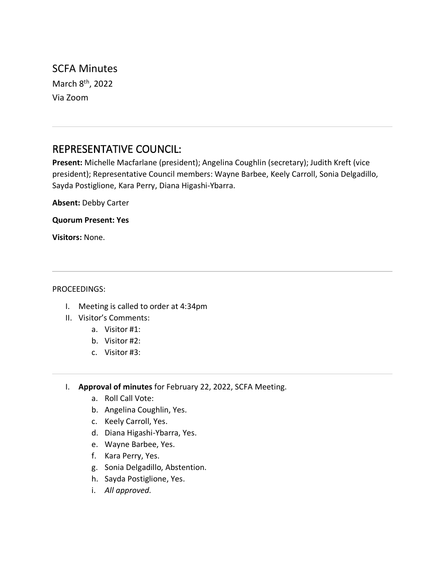SCFA Minutes March 8<sup>th</sup>, 2022 Via Zoom

# REPRESENTATIVE COUNCIL:

**Present:** Michelle Macfarlane (president); Angelina Coughlin (secretary); Judith Kreft (vice president); Representative Council members: Wayne Barbee, Keely Carroll, Sonia Delgadillo, Sayda Postiglione, Kara Perry, Diana Higashi-Ybarra.

**Absent:** Debby Carter

**Quorum Present: Yes**

**Visitors:** None.

#### PROCEEDINGS:

- I. Meeting is called to order at 4:34pm
- II. Visitor's Comments:
	- a. Visitor #1:
	- b. Visitor #2:
	- c. Visitor #3:
- I. **Approval of minutes** for February 22, 2022, SCFA Meeting.
	- a. Roll Call Vote:
	- b. Angelina Coughlin, Yes.
	- c. Keely Carroll, Yes.
	- d. Diana Higashi-Ybarra, Yes.
	- e. Wayne Barbee, Yes.
	- f. Kara Perry, Yes.
	- g. Sonia Delgadillo, Abstention.
	- h. Sayda Postiglione, Yes.
	- i. *All approved.*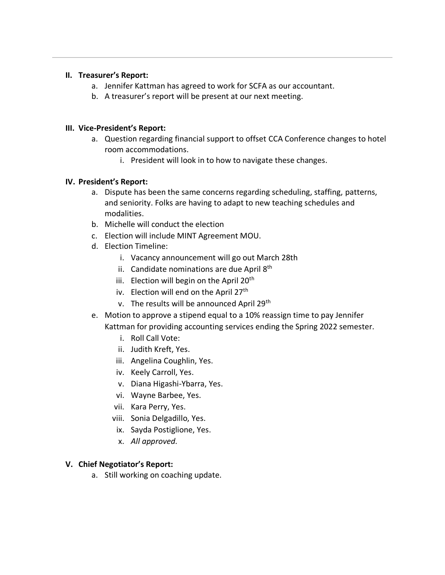#### **II. Treasurer's Report:**

- a. Jennifer Kattman has agreed to work for SCFA as our accountant.
- b. A treasurer's report will be present at our next meeting.

### **III. Vice-President's Report:**

- a. Question regarding financial support to offset CCA Conference changes to hotel room accommodations.
	- i. President will look in to how to navigate these changes.

# **IV. President's Report:**

- a. Dispute has been the same concerns regarding scheduling, staffing, patterns, and seniority. Folks are having to adapt to new teaching schedules and modalities.
- b. Michelle will conduct the election
- c. Election will include MINT Agreement MOU.
- d. Election Timeline:
	- i. Vacancy announcement will go out March 28th
	- ii. Candidate nominations are due April 8<sup>th</sup>
	- iii. Election will begin on the April  $20<sup>th</sup>$
	- iv. Election will end on the April  $27<sup>th</sup>$
	- v. The results will be announced April 29<sup>th</sup>
- e. Motion to approve a stipend equal to a 10% reassign time to pay Jennifer Kattman for providing accounting services ending the Spring 2022 semester.
	- i. Roll Call Vote:
	- ii. Judith Kreft, Yes.
	- iii. Angelina Coughlin, Yes.
	- iv. Keely Carroll, Yes.
	- v. Diana Higashi-Ybarra, Yes.
	- vi. Wayne Barbee, Yes.
	- vii. Kara Perry, Yes.
	- viii. Sonia Delgadillo, Yes.
	- ix. Sayda Postiglione, Yes.
	- x. *All approved.*

# **V. Chief Negotiator's Report:**

a. Still working on coaching update.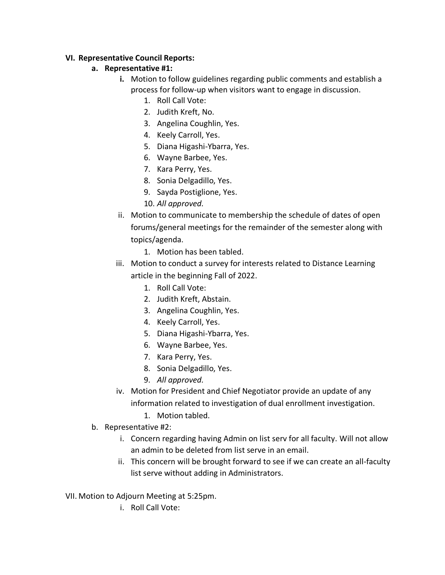### **VI. Representative Council Reports:**

# **a. Representative #1:**

- **i.** Motion to follow guidelines regarding public comments and establish a process for follow-up when visitors want to engage in discussion.
	- 1. Roll Call Vote:
	- 2. Judith Kreft, No.
	- 3. Angelina Coughlin, Yes.
	- 4. Keely Carroll, Yes.
	- 5. Diana Higashi-Ybarra, Yes.
	- 6. Wayne Barbee, Yes.
	- 7. Kara Perry, Yes.
	- 8. Sonia Delgadillo, Yes.
	- 9. Sayda Postiglione, Yes.
	- 10. *All approved.*
- ii. Motion to communicate to membership the schedule of dates of open forums/general meetings for the remainder of the semester along with topics/agenda.
	- 1. Motion has been tabled.
- iii. Motion to conduct a survey for interests related to Distance Learning article in the beginning Fall of 2022.
	- 1. Roll Call Vote:
	- 2. Judith Kreft, Abstain.
	- 3. Angelina Coughlin, Yes.
	- 4. Keely Carroll, Yes.
	- 5. Diana Higashi-Ybarra, Yes.
	- 6. Wayne Barbee, Yes.
	- 7. Kara Perry, Yes.
	- 8. Sonia Delgadillo, Yes.
	- 9. *All approved.*
- iv. Motion for President and Chief Negotiator provide an update of any information related to investigation of dual enrollment investigation.
	- 1. Motion tabled.
- b. Representative #2:
	- i. Concern regarding having Admin on list serv for all faculty. Will not allow an admin to be deleted from list serve in an email.
	- ii. This concern will be brought forward to see if we can create an all-faculty list serve without adding in Administrators.
- VII. Motion to Adjourn Meeting at 5:25pm.
	- i. Roll Call Vote: